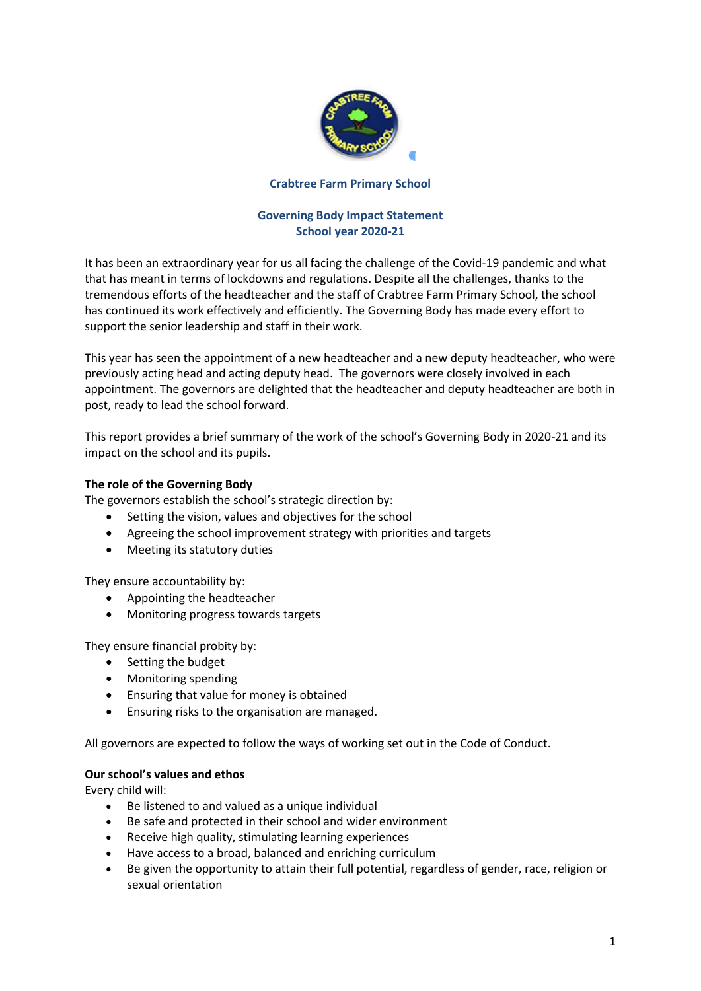

### **Crabtree Farm Primary School**

# **Governing Body Impact Statement School year 2020-21**

It has been an extraordinary year for us all facing the challenge of the Covid-19 pandemic and what that has meant in terms of lockdowns and regulations. Despite all the challenges, thanks to the tremendous efforts of the headteacher and the staff of Crabtree Farm Primary School, the school has continued its work effectively and efficiently. The Governing Body has made every effort to support the senior leadership and staff in their work.

This year has seen the appointment of a new headteacher and a new deputy headteacher, who were previously acting head and acting deputy head. The governors were closely involved in each appointment. The governors are delighted that the headteacher and deputy headteacher are both in post, ready to lead the school forward.

This report provides a brief summary of the work of the school's Governing Body in 2020-21 and its impact on the school and its pupils.

# **The role of the Governing Body**

The governors establish the school's strategic direction by:

- Setting the vision, values and objectives for the school
- Agreeing the school improvement strategy with priorities and targets
- Meeting its statutory duties

They ensure accountability by:

- Appointing the headteacher
- Monitoring progress towards targets

They ensure financial probity by:

- Setting the budget
- Monitoring spending
- Ensuring that value for money is obtained
- Ensuring risks to the organisation are managed.

All governors are expected to follow the ways of working set out in the Code of Conduct.

### **Our school's values and ethos**

Every child will:

- Be listened to and valued as a unique individual
- Be safe and protected in their school and wider environment
- Receive high quality, stimulating learning experiences
- Have access to a broad, balanced and enriching curriculum
- Be given the opportunity to attain their full potential, regardless of gender, race, religion or sexual orientation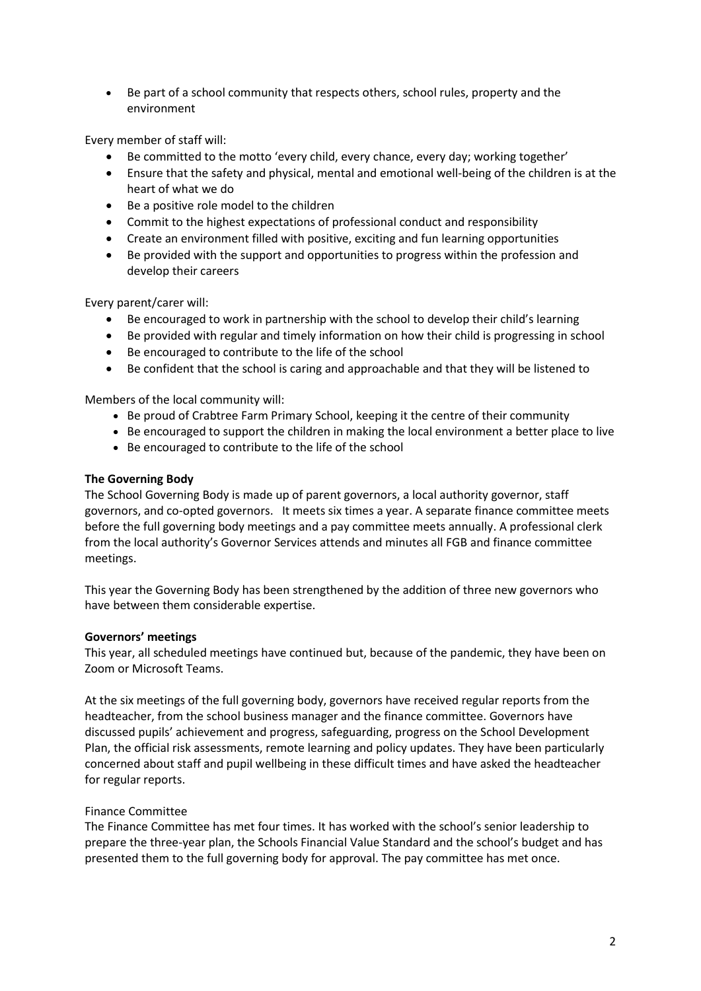• Be part of a school community that respects others, school rules, property and the environment

Every member of staff will:

- Be committed to the motto 'every child, every chance, every day; working together'
- Ensure that the safety and physical, mental and emotional well-being of the children is at the heart of what we do
- Be a positive role model to the children
- Commit to the highest expectations of professional conduct and responsibility
- Create an environment filled with positive, exciting and fun learning opportunities
- Be provided with the support and opportunities to progress within the profession and develop their careers

Every parent/carer will:

- Be encouraged to work in partnership with the school to develop their child's learning
- Be provided with regular and timely information on how their child is progressing in school
- Be encouraged to contribute to the life of the school
- Be confident that the school is caring and approachable and that they will be listened to

Members of the local community will:

- Be proud of Crabtree Farm Primary School, keeping it the centre of their community
- Be encouraged to support the children in making the local environment a better place to live
- Be encouraged to contribute to the life of the school

### **The Governing Body**

The School Governing Body is made up of parent governors, a local authority governor, staff governors, and co-opted governors. It meets six times a year. A separate finance committee meets before the full governing body meetings and a pay committee meets annually. A professional clerk from the local authority's Governor Services attends and minutes all FGB and finance committee meetings.

This year the Governing Body has been strengthened by the addition of three new governors who have between them considerable expertise.

### **Governors' meetings**

This year, all scheduled meetings have continued but, because of the pandemic, they have been on Zoom or Microsoft Teams.

At the six meetings of the full governing body, governors have received regular reports from the headteacher, from the school business manager and the finance committee. Governors have discussed pupils' achievement and progress, safeguarding, progress on the School Development Plan, the official risk assessments, remote learning and policy updates. They have been particularly concerned about staff and pupil wellbeing in these difficult times and have asked the headteacher for regular reports.

### Finance Committee

The Finance Committee has met four times. It has worked with the school's senior leadership to prepare the three-year plan, the Schools Financial Value Standard and the school's budget and has presented them to the full governing body for approval. The pay committee has met once.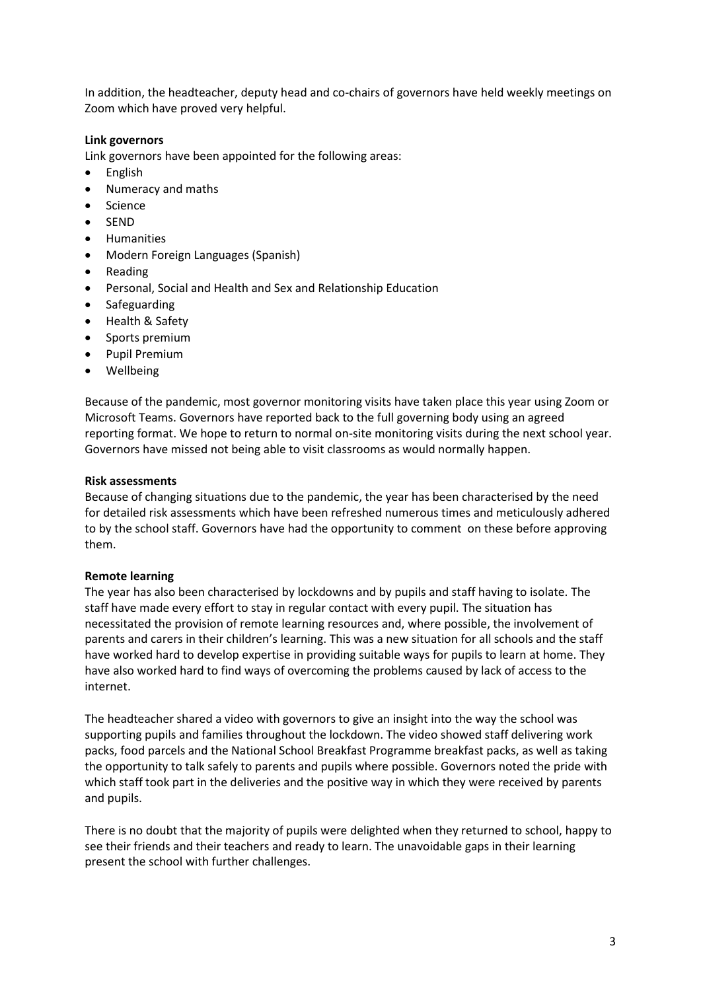In addition, the headteacher, deputy head and co-chairs of governors have held weekly meetings on Zoom which have proved very helpful.

## **Link governors**

Link governors have been appointed for the following areas:

- English
- Numeracy and maths
- Science
- SEND
- Humanities
- Modern Foreign Languages (Spanish)
- Reading
- Personal, Social and Health and Sex and Relationship Education
- Safeguarding
- Health & Safety
- Sports premium
- Pupil Premium
- Wellbeing

Because of the pandemic, most governor monitoring visits have taken place this year using Zoom or Microsoft Teams. Governors have reported back to the full governing body using an agreed reporting format. We hope to return to normal on-site monitoring visits during the next school year. Governors have missed not being able to visit classrooms as would normally happen.

### **Risk assessments**

Because of changing situations due to the pandemic, the year has been characterised by the need for detailed risk assessments which have been refreshed numerous times and meticulously adhered to by the school staff. Governors have had the opportunity to comment on these before approving them.

### **Remote learning**

The year has also been characterised by lockdowns and by pupils and staff having to isolate. The staff have made every effort to stay in regular contact with every pupil. The situation has necessitated the provision of remote learning resources and, where possible, the involvement of parents and carers in their children's learning. This was a new situation for all schools and the staff have worked hard to develop expertise in providing suitable ways for pupils to learn at home. They have also worked hard to find ways of overcoming the problems caused by lack of access to the internet.

The headteacher shared a video with governors to give an insight into the way the school was supporting pupils and families throughout the lockdown. The video showed staff delivering work packs, food parcels and the National School Breakfast Programme breakfast packs, as well as taking the opportunity to talk safely to parents and pupils where possible. Governors noted the pride with which staff took part in the deliveries and the positive way in which they were received by parents and pupils.

There is no doubt that the majority of pupils were delighted when they returned to school, happy to see their friends and their teachers and ready to learn. The unavoidable gaps in their learning present the school with further challenges.